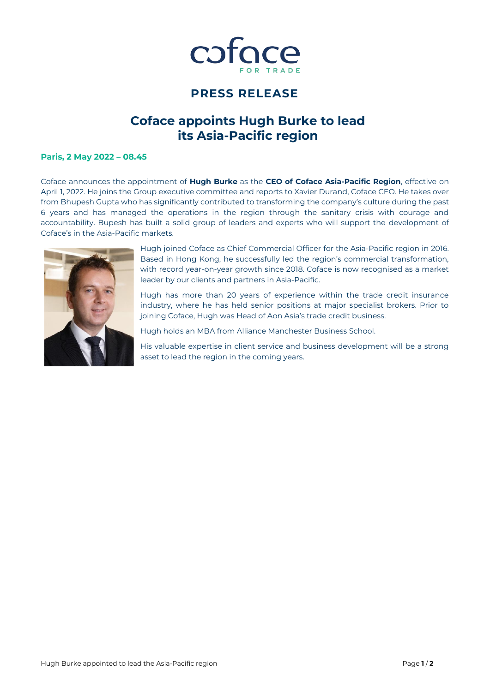

## **PRESS RELEASE**

# **Coface appoints Hugh Burke to lead its Asia-Pacific region**

### **Paris, 2 May 2022 – 08.45**

Coface announces the appointment of **Hugh Burke** as the **CEO of Coface Asia-Pacific Region**, effective on April 1, 2022. He joins the Group executive committee and reports to Xavier Durand, Coface CEO. He takes over from Bhupesh Gupta who has significantly contributed to transforming the company's culture during the past 6 years and has managed the operations in the region through the sanitary crisis with courage and accountability. Bupesh has built a solid group of leaders and experts who will support the development of Coface's in the Asia-Pacific markets.



Hugh joined Coface as Chief Commercial Officer for the Asia-Pacific region in 2016. Based in Hong Kong, he successfully led the region's commercial transformation, with record year-on-year growth since 2018. Coface is now recognised as a market leader by our clients and partners in Asia-Pacific.

Hugh has more than 20 years of experience within the trade credit insurance industry, where he has held senior positions at major specialist brokers. Prior to joining Coface, Hugh was Head of Aon Asia's trade credit business.

Hugh holds an MBA from Alliance Manchester Business School.

His valuable expertise in client service and business development will be a strong asset to lead the region in the coming years.